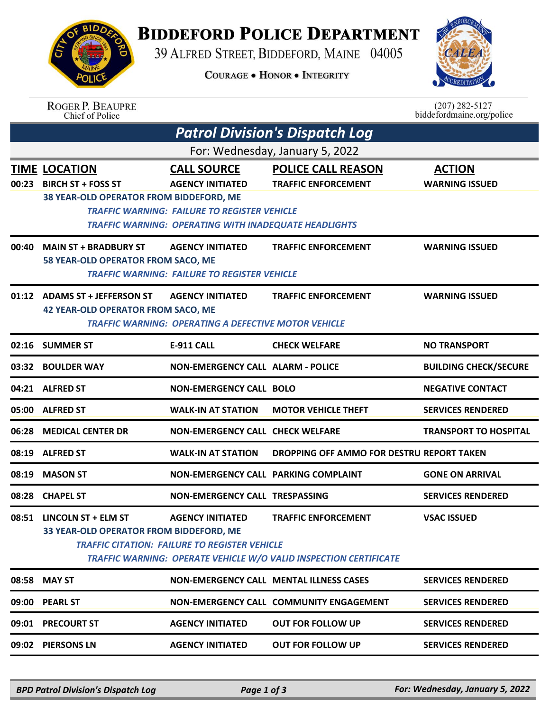

## **BIDDEFORD POLICE DEPARTMENT**

39 ALFRED STREET, BIDDEFORD, MAINE 04005

**COURAGE . HONOR . INTEGRITY** 



|                                 | <b>ROGER P. BEAUPRE</b><br>Chief of Police                                                   |                                                                                                      |                                                                                                 | $(207) 282 - 5127$<br>biddefordmaine.org/police |  |  |  |  |
|---------------------------------|----------------------------------------------------------------------------------------------|------------------------------------------------------------------------------------------------------|-------------------------------------------------------------------------------------------------|-------------------------------------------------|--|--|--|--|
|                                 |                                                                                              |                                                                                                      | <b>Patrol Division's Dispatch Log</b>                                                           |                                                 |  |  |  |  |
| For: Wednesday, January 5, 2022 |                                                                                              |                                                                                                      |                                                                                                 |                                                 |  |  |  |  |
| 00:23                           | <b>TIME LOCATION</b><br><b>BIRCH ST + FOSS ST</b><br>38 YEAR-OLD OPERATOR FROM BIDDEFORD, ME | <b>CALL SOURCE</b><br><b>AGENCY INITIATED</b><br><b>TRAFFIC WARNING: FAILURE TO REGISTER VEHICLE</b> | <b>POLICE CALL REASON</b><br><b>TRAFFIC ENFORCEMENT</b>                                         | <b>ACTION</b><br><b>WARNING ISSUED</b>          |  |  |  |  |
|                                 |                                                                                              | <b>TRAFFIC WARNING: OPERATING WITH INADEQUATE HEADLIGHTS</b>                                         |                                                                                                 |                                                 |  |  |  |  |
| 00:40                           | <b>MAIN ST + BRADBURY ST</b>                                                                 | <b>AGENCY INITIATED</b>                                                                              | <b>TRAFFIC ENFORCEMENT</b>                                                                      | <b>WARNING ISSUED</b>                           |  |  |  |  |
|                                 | 58 YEAR-OLD OPERATOR FROM SACO, ME                                                           | <b>TRAFFIC WARNING: FAILURE TO REGISTER VEHICLE</b>                                                  |                                                                                                 |                                                 |  |  |  |  |
| 01:12                           | <b>ADAMS ST + JEFFERSON ST</b><br><b>42 YEAR-OLD OPERATOR FROM SACO, ME</b>                  | <b>AGENCY INITIATED</b><br><b>TRAFFIC WARNING: OPERATING A DEFECTIVE MOTOR VEHICLE</b>               | <b>TRAFFIC ENFORCEMENT</b>                                                                      | <b>WARNING ISSUED</b>                           |  |  |  |  |
|                                 | 02:16 SUMMER ST                                                                              | <b>E-911 CALL</b>                                                                                    | <b>CHECK WELFARE</b>                                                                            | <b>NO TRANSPORT</b>                             |  |  |  |  |
| 03:32                           | <b>BOULDER WAY</b>                                                                           | <b>NON-EMERGENCY CALL ALARM - POLICE</b>                                                             |                                                                                                 | <b>BUILDING CHECK/SECURE</b>                    |  |  |  |  |
| 04:21                           | <b>ALFRED ST</b>                                                                             | <b>NON-EMERGENCY CALL BOLO</b>                                                                       |                                                                                                 | <b>NEGATIVE CONTACT</b>                         |  |  |  |  |
| 05:00                           | <b>ALFRED ST</b>                                                                             | <b>WALK-IN AT STATION</b>                                                                            | <b>MOTOR VEHICLE THEFT</b>                                                                      | <b>SERVICES RENDERED</b>                        |  |  |  |  |
| 06:28                           | <b>MEDICAL CENTER DR</b>                                                                     | <b>NON-EMERGENCY CALL CHECK WELFARE</b>                                                              |                                                                                                 | <b>TRANSPORT TO HOSPITAL</b>                    |  |  |  |  |
| 08:19                           | <b>ALFRED ST</b>                                                                             | <b>WALK-IN AT STATION</b>                                                                            | DROPPING OFF AMMO FOR DESTRU REPORT TAKEN                                                       |                                                 |  |  |  |  |
| 08:19                           | <b>MASON ST</b>                                                                              | NON-EMERGENCY CALL PARKING COMPLAINT                                                                 |                                                                                                 | <b>GONE ON ARRIVAL</b>                          |  |  |  |  |
|                                 | 08:28 CHAPEL ST                                                                              | NON-EMERGENCY CALL TRESPASSING                                                                       |                                                                                                 | <b>SERVICES RENDERED</b>                        |  |  |  |  |
|                                 | 08:51 LINCOLN ST + ELM ST<br>33 YEAR-OLD OPERATOR FROM BIDDEFORD, ME                         | <b>AGENCY INITIATED</b><br><b>TRAFFIC CITATION: FAILURE TO REGISTER VEHICLE</b>                      | <b>TRAFFIC ENFORCEMENT</b><br>TRAFFIC WARNING: OPERATE VEHICLE W/O VALID INSPECTION CERTIFICATE | <b>VSAC ISSUED</b>                              |  |  |  |  |
| 08:58                           | <b>MAY ST</b>                                                                                |                                                                                                      | <b>NON-EMERGENCY CALL MENTAL ILLNESS CASES</b>                                                  | <b>SERVICES RENDERED</b>                        |  |  |  |  |
| 09:00                           | <b>PEARL ST</b>                                                                              |                                                                                                      | NON-EMERGENCY CALL COMMUNITY ENGAGEMENT                                                         | <b>SERVICES RENDERED</b>                        |  |  |  |  |
| 09:01                           | <b>PRECOURT ST</b>                                                                           | <b>AGENCY INITIATED</b>                                                                              | <b>OUT FOR FOLLOW UP</b>                                                                        | <b>SERVICES RENDERED</b>                        |  |  |  |  |
| 09:02                           | <b>PIERSONS LN</b>                                                                           | <b>AGENCY INITIATED</b>                                                                              | <b>OUT FOR FOLLOW UP</b>                                                                        | <b>SERVICES RENDERED</b>                        |  |  |  |  |

*BPD Patrol Division's Dispatch Log Page 1 of 3 For: Wednesday, January 5, 2022*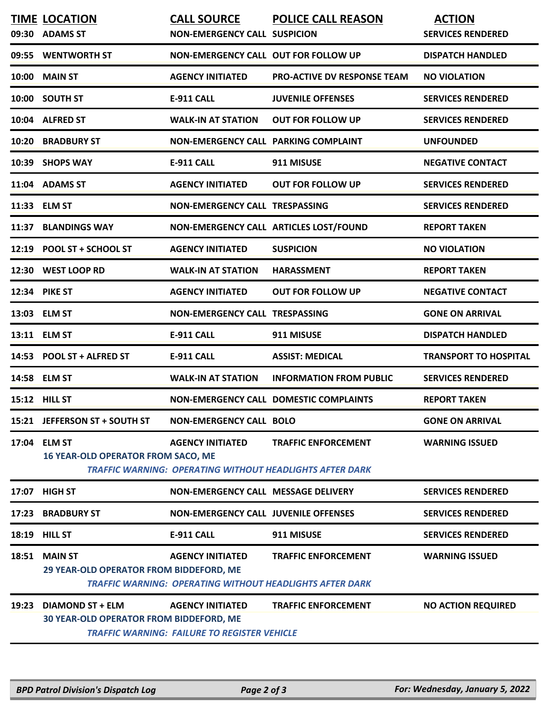| 09:30 | <b>TIME LOCATION</b><br><b>ADAMS ST</b>                                   | <b>CALL SOURCE</b><br><b>NON-EMERGENCY CALL SUSPICION</b>                      | <b>POLICE CALL REASON</b>                                                                     | <b>ACTION</b><br><b>SERVICES RENDERED</b> |
|-------|---------------------------------------------------------------------------|--------------------------------------------------------------------------------|-----------------------------------------------------------------------------------------------|-------------------------------------------|
|       | 09:55 WENTWORTH ST                                                        | NON-EMERGENCY CALL OUT FOR FOLLOW UP                                           |                                                                                               | <b>DISPATCH HANDLED</b>                   |
| 10:00 | <b>MAIN ST</b>                                                            | <b>AGENCY INITIATED</b>                                                        | <b>PRO-ACTIVE DV RESPONSE TEAM</b>                                                            | <b>NO VIOLATION</b>                       |
|       | 10:00 SOUTH ST                                                            | <b>E-911 CALL</b>                                                              | <b>JUVENILE OFFENSES</b>                                                                      | <b>SERVICES RENDERED</b>                  |
|       | 10:04 ALFRED ST                                                           | <b>WALK-IN AT STATION</b>                                                      | <b>OUT FOR FOLLOW UP</b>                                                                      | <b>SERVICES RENDERED</b>                  |
| 10:20 | <b>BRADBURY ST</b>                                                        | NON-EMERGENCY CALL PARKING COMPLAINT                                           |                                                                                               | <b>UNFOUNDED</b>                          |
|       | 10:39 SHOPS WAY                                                           | <b>E-911 CALL</b>                                                              | 911 MISUSE                                                                                    | <b>NEGATIVE CONTACT</b>                   |
|       | 11:04 ADAMS ST                                                            | <b>AGENCY INITIATED</b>                                                        | <b>OUT FOR FOLLOW UP</b>                                                                      | <b>SERVICES RENDERED</b>                  |
|       | 11:33 ELM ST                                                              | <b>NON-EMERGENCY CALL TRESPASSING</b>                                          |                                                                                               | <b>SERVICES RENDERED</b>                  |
| 11:37 | <b>BLANDINGS WAY</b>                                                      |                                                                                | NON-EMERGENCY CALL ARTICLES LOST/FOUND                                                        | <b>REPORT TAKEN</b>                       |
| 12:19 | POOL ST + SCHOOL ST                                                       | <b>AGENCY INITIATED</b>                                                        | <b>SUSPICION</b>                                                                              | <b>NO VIOLATION</b>                       |
| 12:30 | <b>WEST LOOP RD</b>                                                       | <b>WALK-IN AT STATION</b>                                                      | <b>HARASSMENT</b>                                                                             | <b>REPORT TAKEN</b>                       |
|       | 12:34 PIKE ST                                                             | <b>AGENCY INITIATED</b>                                                        | <b>OUT FOR FOLLOW UP</b>                                                                      | <b>NEGATIVE CONTACT</b>                   |
|       | 13:03 ELM ST                                                              | <b>NON-EMERGENCY CALL TRESPASSING</b>                                          |                                                                                               | <b>GONE ON ARRIVAL</b>                    |
|       | 13:11 ELM ST                                                              | <b>E-911 CALL</b>                                                              | 911 MISUSE                                                                                    | <b>DISPATCH HANDLED</b>                   |
| 14:53 | <b>POOL ST + ALFRED ST</b>                                                | <b>E-911 CALL</b>                                                              | <b>ASSIST: MEDICAL</b>                                                                        | <b>TRANSPORT TO HOSPITAL</b>              |
| 14:58 | <b>ELM ST</b>                                                             | <b>WALK-IN AT STATION</b>                                                      | <b>INFORMATION FROM PUBLIC</b>                                                                | <b>SERVICES RENDERED</b>                  |
|       | 15:12 HILL ST                                                             |                                                                                | <b>NON-EMERGENCY CALL DOMESTIC COMPLAINTS</b>                                                 | <b>REPORT TAKEN</b>                       |
|       | 15:21 JEFFERSON ST + SOUTH ST                                             | <b>NON-EMERGENCY CALL BOLO</b>                                                 |                                                                                               | <b>GONE ON ARRIVAL</b>                    |
|       | 17:04 ELM ST<br><b>16 YEAR-OLD OPERATOR FROM SACO, ME</b>                 | <b>AGENCY INITIATED</b>                                                        | <b>TRAFFIC ENFORCEMENT</b><br><b>TRAFFIC WARNING: OPERATING WITHOUT HEADLIGHTS AFTER DARK</b> | <b>WARNING ISSUED</b>                     |
|       | 17:07 HIGH ST                                                             | NON-EMERGENCY CALL MESSAGE DELIVERY                                            |                                                                                               | <b>SERVICES RENDERED</b>                  |
| 17:23 | <b>BRADBURY ST</b>                                                        | <b>NON-EMERGENCY CALL JUVENILE OFFENSES</b>                                    |                                                                                               | <b>SERVICES RENDERED</b>                  |
| 18:19 | <b>HILL ST</b>                                                            | <b>E-911 CALL</b>                                                              | 911 MISUSE                                                                                    | <b>SERVICES RENDERED</b>                  |
|       | 18:51 MAIN ST<br>29 YEAR-OLD OPERATOR FROM BIDDEFORD, ME                  | <b>AGENCY INITIATED</b>                                                        | <b>TRAFFIC ENFORCEMENT</b><br><b>TRAFFIC WARNING: OPERATING WITHOUT HEADLIGHTS AFTER DARK</b> | <b>WARNING ISSUED</b>                     |
| 19:23 | <b>DIAMOND ST + ELM</b><br><b>30 YEAR-OLD OPERATOR FROM BIDDEFORD, ME</b> | <b>AGENCY INITIATED</b><br><b>TRAFFIC WARNING: FAILURE TO REGISTER VEHICLE</b> | <b>TRAFFIC ENFORCEMENT</b>                                                                    | <b>NO ACTION REQUIRED</b>                 |